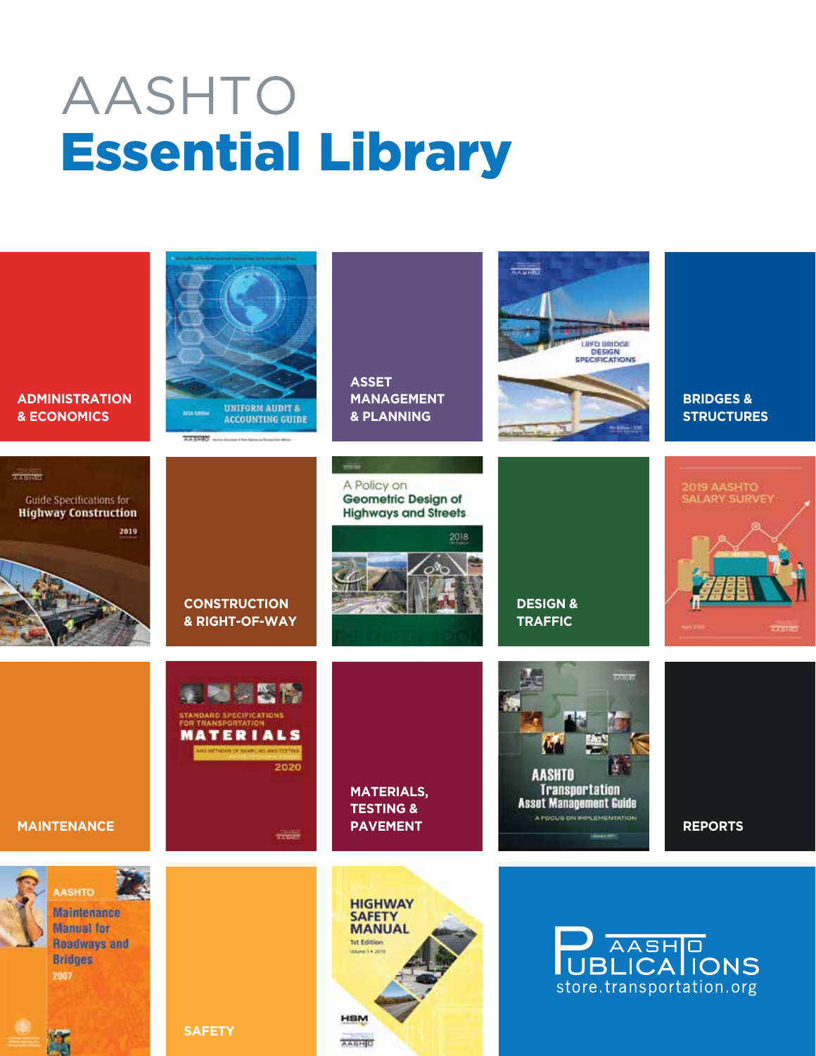## AASHTO Essential Library

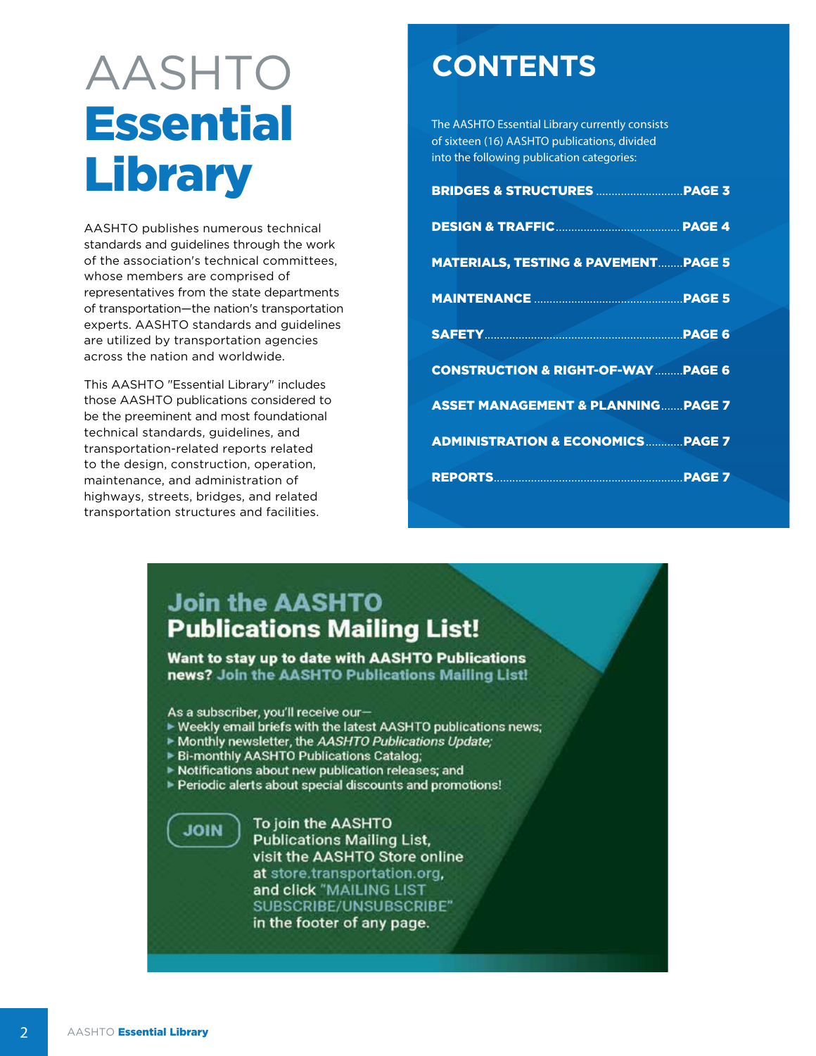## AASHTO **Essential Library**

AASHTO publishes numerous technical standards and guidelines through the work of the association's technical committees, whose members are comprised of representatives from the state departments of transportation-the nation's transportation experts. AASHTO standards and guidelines are utilized by transportation agencies across the nation and worldwide.

This AASHTO "Essential Library" includes those AASHTO publications considered to be the preeminent and most foundational technical standards, guidelines, and transportation-related reports related to the design, construction, operation, maintenance, and administration of highways, streets, bridges, and related transportation structures and facilities.

## **CONTENTS**

The AASHTO Essential Library currently consists of sixteen (16) AASHTO publications, divided into the following publication categories:

| <b>MATERIALS, TESTING &amp; PAVEMENT PAGE 5</b> |  |
|-------------------------------------------------|--|
|                                                 |  |
|                                                 |  |
| <b>CONSTRUCTION &amp; RIGHT-OF-WAY  PAGE 6</b>  |  |
| <b>ASSET MANAGEMENT &amp; PLANNING PAGE 7</b>   |  |
| <b>ADMINISTRATION &amp; ECONOMICS  PAGE 7</b>   |  |
|                                                 |  |

## **Join the AASHTO Publications Mailing List!**

Want to stay up to date with AASHTO Publications news? Join the AASHTO Publications Mailing List!

As a subscriber, you'll receive our-

- ► Weekly email briefs with the latest AASHTO publications news;
- Monthly newsletter, the AASHTO Publications Update;
- ▶ Bi-monthly AASHTO Publications Catalog;
- Notifications about new publication releases; and
- Periodic alerts about special discounts and promotions!



To join the AASHTO **Publications Mailing List,** visit the AASHTO Store online at store.transportation.org, and click "MAILING LIST SUBSCRIBE/UNSUBSCRIBE" in the footer of any page.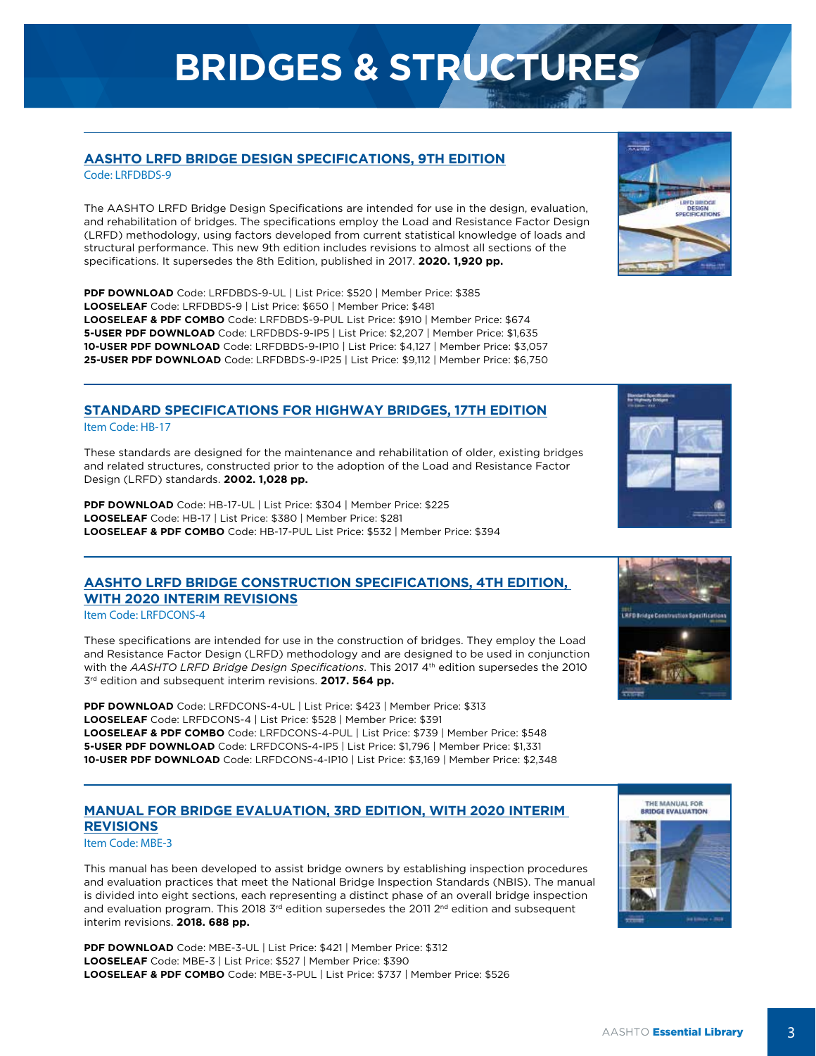## **BRIDGES & STRUCTURES**

### **[AASHTO LRFD BRIDGE DESIGN SPECIFICATIONS, 9TH EDITION](https://store.transportation.org/Item/CollectionDetail?ID=202)**

Code: LRFDBDS-9

The AASHTO LRFD Bridge Design Specifications are intended for use in the design, evaluation, and rehabilitation of bridges. The specifications employ the Load and Resistance Factor Design (LRFD) methodology, using factors developed from current statistical knowledge of loads and structural performance. This new 9th edition includes revisions to almost all sections of the specifications. It supersedes the 8th Edition, published in 2017. **2020. 1,920 pp.**

**PDF DOWNLOAD** Code: LRFDBDS-9-UL | List Price: \$520 | Member Price: \$385 **LOOSELEAF** Code: LRFDBDS-9 | List Price: \$650 | Member Price: \$481 **LOOSELEAF & PDF COMBO** Code: LRFDBDS-9-PUL List Price: \$910 | Member Price: \$674 **5-USER PDF DOWNLOAD** Code: LRFDBDS-9-IP5 | List Price: \$2,207 | Member Price: \$1,635 **10-USER PDF DOWNLOAD** Code: LRFDBDS-9-IP10 | List Price: \$4,127 | Member Price: \$3,057 **25-USER PDF DOWNLOAD** Code: LRFDBDS-9-IP25 | List Price: \$9,112 | Member Price: \$6,750

## **[STANDARD SPECIFICATIONS FOR HIGHWAY BRIDGES, 17TH EDITION](https://store.transportation.org/Item/CollectionDetail?ID=15)**

Item Code: HB-17

These standards are designed for the maintenance and rehabilitation of older, existing bridges and related structures, constructed prior to the adoption of the Load and Resistance Factor Design (LRFD) standards. **2002. 1,028 pp.**

**PDF DOWNLOAD** Code: HB-17-UL | List Price: \$304 | Member Price: \$225 **LOOSELEAF** Code: HB-17 | List Price: \$380 | Member Price: \$281 **LOOSELEAF & PDF COMBO** Code: HB-17-PUL List Price: \$532 | Member Price: \$394

## **[AASHTO LRFD BRIDGE CONSTRUCTION SPECIFICATIONS, 4TH EDITION,](https://store.transportation.org/Item/CollectionDetail?ID=151) WITH 2020 INTERIM REVISIONS**

Item Code: LRFDCONS-4

These specifications are intended for use in the construction of bridges. They employ the Load and Resistance Factor Design (LRFD) methodology and are designed to be used in conjunction with the *AASHTO LRFD Bridge Design Specifications*. This 2017 4<sup>th</sup> edition supersedes the 2010 3rd edition and subsequent interim revisions. **2017. 564 pp.**

**PDF DOWNLOAD** Code: LRFDCONS-4-UL | List Price: \$423 | Member Price: \$313 **LOOSELEAF** Code: LRFDCONS-4 | List Price: \$528 | Member Price: \$391 **LOOSELEAF & PDF COMBO** Code: LRFDCONS-4-PUL | List Price: \$739 | Member Price: \$548 **5-USER PDF DOWNLOAD** Code: LRFDCONS-4-IP5 | List Price: \$1,796 | Member Price: \$1,331 **10-USER PDF DOWNLOAD** Code: LRFDCONS-4-IP10 | List Price: \$3,169 | Member Price: \$2,348

### **[MANUAL FOR BRIDGE EVALUATION, 3RD EDITION, WITH 2020 INTERIM](https://store.transportation.org/Item/CollectionDetail?ID=179) REVISIONS**

Item Code: MBE-3

This manual has been developed to assist bridge owners by establishing inspection procedures and evaluation practices that meet the National Bridge Inspection Standards (NBIS). The manual is divided into eight sections, each representing a distinct phase of an overall bridge inspection and evaluation program. This 2018 3rd edition supersedes the 2011 2<sup>nd</sup> edition and subsequent interim revisions. **2018. 688 pp.**

**PDF DOWNLOAD** Code: MBE-3-UL | List Price: \$421 | Member Price: \$312 **LOOSELEAF** Code: MBE-3 | List Price: \$527 | Member Price: \$390 **LOOSELEAF & PDF COMBO** Code: MBE-3-PUL | List Price: \$737 | Member Price: \$526







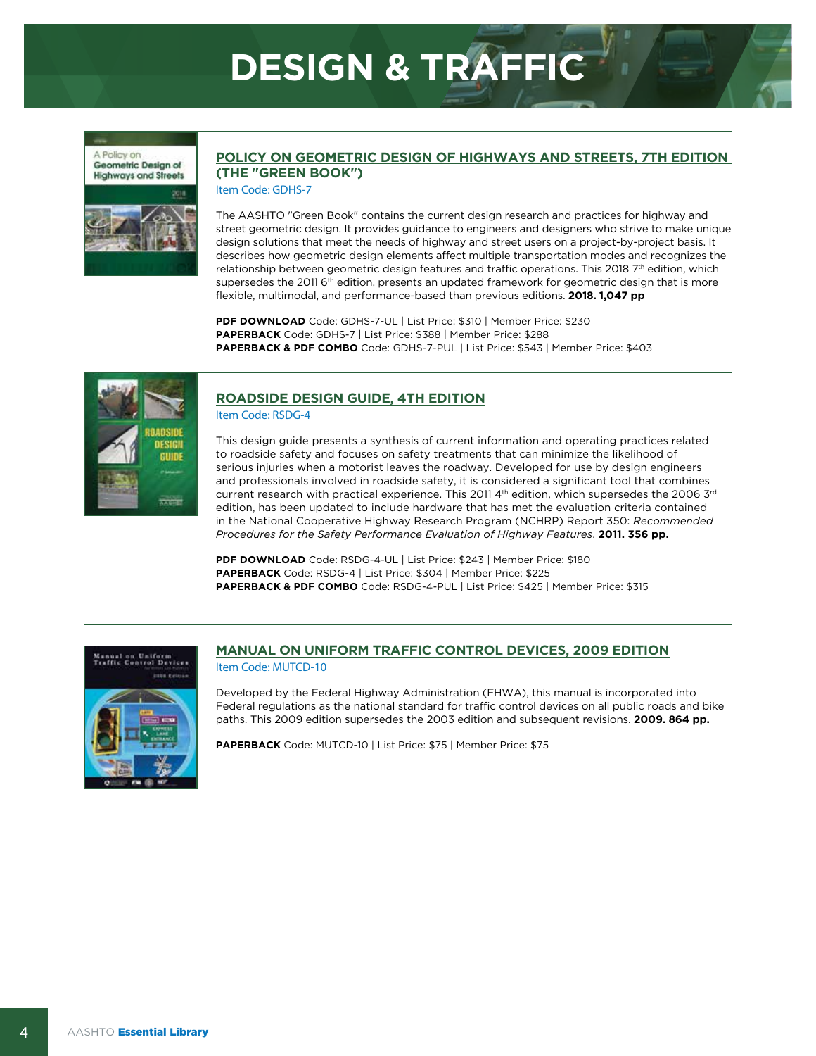## **DESIGN & TRAFFIC**





### **[POLICY ON GEOMETRIC DESIGN OF HIGHWAYS AND STREETS, 7TH EDITION](https://store.transportation.org/Item/CollectionDetail?ID=180)  (THE "GREEN BOOK")**

Item Code: GDHS-7

The AASHTO "Green Book" contains the current design research and practices for highway and street geometric design. It provides guidance to engineers and designers who strive to make unique design solutions that meet the needs of highway and street users on a project-by-project basis. It describes how geometric design elements affect multiple transportation modes and recognizes the relationship between geometric design features and traffic operations. This 2018 7th edition, which supersedes the 2011 6<sup>th</sup> edition, presents an updated framework for geometric design that is more flexible, multimodal, and performance-based than previous editions. **2018. 1,047 pp**

**PDF DOWNLOAD** Code: GDHS-7-UL | List Price: \$310 | Member Price: \$230 **PAPERBACK** Code: GDHS-7 | List Price: \$388 | Member Price: \$288 **PAPERBACK & PDF COMBO** Code: GDHS-7-PUL | List Price: \$543 | Member Price: \$403



### **[ROADSIDE DESIGN GUIDE, 4TH EDITION](https://store.transportation.org/Item/CollectionDetail?ID=105)**

Item Code: RSDG-4

This design guide presents a synthesis of current information and operating practices related to roadside safety and focuses on safety treatments that can minimize the likelihood of serious injuries when a motorist leaves the roadway. Developed for use by design engineers and professionals involved in roadside safety, it is considered a significant tool that combines current research with practical experience. This 2011 4th edition, which supersedes the 2006 3rd edition, has been updated to include hardware that has met the evaluation criteria contained in the National Cooperative Highway Research Program (NCHRP) Report 350: *Recommended Procedures for the Safety Performance Evaluation of Highway Features*. **2011. 356 pp.**

**PDF DOWNLOAD** Code: RSDG-4-UL | List Price: \$243 | Member Price: \$180 **PAPERBACK** Code: RSDG-4 | List Price: \$304 | Member Price: \$225 **PAPERBACK & PDF COMBO** Code: RSDG-4-PUL | List Price: \$425 | Member Price: \$315



### **[MANUAL ON UNIFORM TRAFFIC CONTROL DEVICES, 2009 EDITION](https://store.transportation.org/Item/PublicationDetail?ID=1550)**

Item Code: MUTCD-10

Developed by the Federal Highway Administration (FHWA), this manual is incorporated into Federal regulations as the national standard for traffic control devices on all public roads and bike paths. This 2009 edition supersedes the 2003 edition and subsequent revisions. **2009. 864 pp.**

**PAPERBACK** Code: MUTCD-10 | List Price: \$75 | Member Price: \$75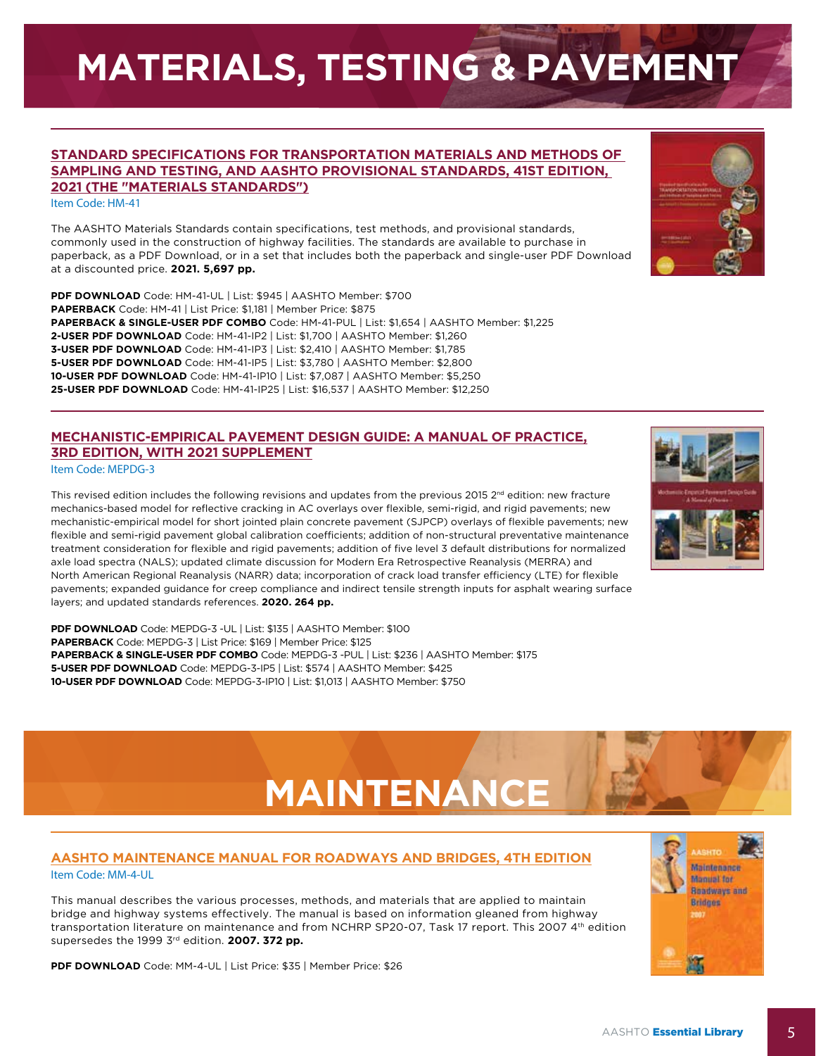## **MATERIALS, TESTING & PAVEMENT**

#### **[STANDARD SPECIFICATIONS FOR TRANSPORTATION MATERIALS AND METHODS OF](https://store.transportation.org/Item/CollectionDetail?ID=221)  SAMPLING AND TESTING, AND AASHTO PROVISIONAL STANDARDS, 41ST EDITION, 2021 (THE "MATERIALS STANDARDS")**

Item Code: HM-41

The AASHTO Materials Standards contain specifications, test methods, and provisional standards, commonly used in the construction of highway facilities. The standards are available to purchase in paperback, as a PDF Download, or in a set that includes both the paperback and single-user PDF Download at a discounted price. **2021. 5,697 pp.**

**PDF DOWNLOAD** Code: HM-41-UL | List: \$945 | AASHTO Member: \$700 **PAPERBACK** Code: HM-41 | List Price: \$1,181 | Member Price: \$875 **PAPERBACK & SINGLE-USER PDF COMBO** Code: HM-41-PUL | List: \$1,654 | AASHTO Member: \$1,225 **2-USER PDF DOWNLOAD** Code: HM-41-IP2 | List: \$1,700 | AASHTO Member: \$1,260 **3-USER PDF DOWNLOAD** Code: HM-41-IP3 | List: \$2,410 | AASHTO Member: \$1,785 **5-USER PDF DOWNLOAD** Code: HM-41-IP5 | List: \$3,780 | AASHTO Member: \$2,800 **10-USER PDF DOWNLOAD** Code: HM-41-IP10 | List: \$7,087 | AASHTO Member: \$5,250 **25-USER PDF DOWNLOAD** Code: HM-41-IP25 | List: \$16,537 | AASHTO Member: \$12,250

### **[MECHANISTIC-EMPIRICAL PAVEMENT DESIGN GUIDE: A MANUAL OF PRACTICE,](https://store.transportation.org/Item/CollectionDetail?ID=196)  3RD EDITION, WITH 2021 SUPPLEMENT**

Item Code: MEPDG-3

This revised edition includes the following revisions and updates from the previous 2015  $2^{nd}$  edition: new fracture mechanics-based model for reflective cracking in AC overlays over flexible, semi-rigid, and rigid pavements; new mechanistic-empirical model for short jointed plain concrete pavement (SJPCP) overlays of flexible pavements; new flexible and semi-rigid pavement global calibration coefficients; addition of non-structural preventative maintenance treatment consideration for flexible and rigid pavements; addition of five level 3 default distributions for normalized axle load spectra (NALS); updated climate discussion for Modern Era Retrospective Reanalysis (MERRA) and North American Regional Reanalysis (NARR) data; incorporation of crack load transfer efficiency (LTE) for flexible pavements; expanded guidance for creep compliance and indirect tensile strength inputs for asphalt wearing surface layers; and updated standards references. **2020. 264 pp.**

**PDF DOWNLOAD** Code: MEPDG-3 -UL | List: \$135 | AASHTO Member: \$100 **PAPERBACK** Code: MEPDG-3 | List Price: \$169 | Member Price: \$125 **PAPERBACK & SINGLE-USER PDF COMBO** Code: MEPDG-3 -PUL | List: \$236 | AASHTO Member: \$175 **5-USER PDF DOWNLOAD** Code: MEPDG-3-IP5 | List: \$574 | AASHTO Member: \$425 **10-USER PDF DOWNLOAD** Code: MEPDG-3-IP10 | List: \$1,013 | AASHTO Member: \$750

## **[AASHTO MAINTENANCE MANUAL FOR ROADWAYS AND BRIDGES, 4TH EDITION](https://store.transportation.org/Item/PublicationDetail?ID=1171)**

Item Code: MM-4-UL

This manual describes the various processes, methods, and materials that are applied to maintain bridge and highway systems effectively. The manual is based on information gleaned from highway transportation literature on maintenance and from NCHRP SP20-07, Task 17 report. This 2007 4<sup>th</sup> edition supersedes the 1999 3<sup>rd</sup> edition. **2007. 372 pp.** 

**PDF DOWNLOAD** Code: MM-4-UL | List Price: \$35 | Member Price: \$26





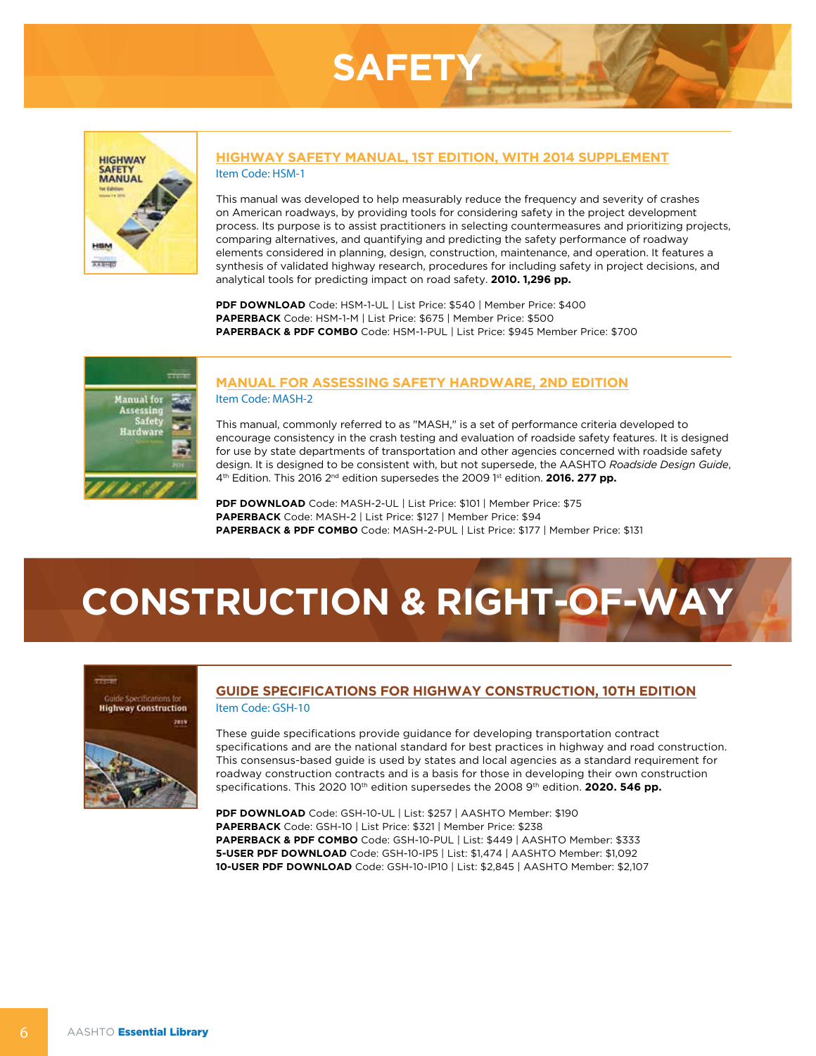



#### **[HIGHWAY SAFETY MANUAL, 1ST EDITION, WITH 2014 SUPPLEMENT](https://store.transportation.org/Item/CollectionDetail?ID=135)** Item Code: HSM-1

This manual was developed to help measurably reduce the frequency and severity of crashes on American roadways, by providing tools for considering safety in the project development process. Its purpose is to assist practitioners in selecting countermeasures and prioritizing projects, comparing alternatives, and quantifying and predicting the safety performance of roadway elements considered in planning, design, construction, maintenance, and operation. It features a synthesis of validated highway research, procedures for including safety in project decisions, and analytical tools for predicting impact on road safety. **2010. 1,296 pp.**

**PDF DOWNLOAD** Code: HSM-1-UL | List Price: \$540 | Member Price: \$400 **PAPERBACK** Code: HSM-1-M | List Price: \$675 | Member Price: \$500 **PAPERBACK & PDF COMBO** Code: HSM-1-PUL | List Price: \$945 Member Price: \$700



#### **[MANUAL FOR ASSESSING SAFETY HARDWARE, 2ND EDITION](https://store.transportation.org/Item/CollectionDetail?ID=211)** Item Code: MASH-2

This manual, commonly referred to as "MASH," is a set of performance criteria developed to encourage consistency in the crash testing and evaluation of roadside safety features. It is designed for use by state departments of transportation and other agencies concerned with roadside safety design. It is designed to be consistent with, but not supersede, the AASHTO *Roadside Design Guide*, 4<sup>th</sup> Edition. This 2016 2<sup>nd</sup> edition supersedes the 2009 <sup>1st</sup> edition. **2016. 277 pp.** 

**PDF DOWNLOAD** Code: MASH-2-UL | List Price: \$101 | Member Price: \$75 **PAPERBACK** Code: MASH-2 | List Price: \$127 | Member Price: \$94 **PAPERBACK & PDF COMBO** Code: MASH-2-PUL | List Price: \$177 | Member Price: \$131

## **CONSTRUCTION & RIGHT-OF-WAY**



#### **[GUIDE SPECIFICATIONS FOR HIGHWAY CONSTRUCTION, 10TH EDITION](https://store.transportation.org/Item/CollectionDetail?ID=201)** Item Code: GSH-10

These guide specifications provide guidance for developing transportation contract specifications and are the national standard for best practices in highway and road construction. This consensus-based guide is used by states and local agencies as a standard requirement for roadway construction contracts and is a basis for those in developing their own construction specifications. This 2020 10<sup>th</sup> edition supersedes the 2008 9<sup>th</sup> edition. **2020. 546 pp.** 

**PDF DOWNLOAD** Code: GSH-10-UL | List: \$257 | AASHTO Member: \$190 **PAPERBACK** Code: GSH-10 | List Price: \$321 | Member Price: \$238 **PAPERBACK & PDF COMBO** Code: GSH-10-PUL | List: \$449 | AASHTO Member: \$333 **5-USER PDF DOWNLOAD** Code: GSH-10-IP5 | List: \$1,474 | AASHTO Member: \$1,092 **10-USER PDF DOWNLOAD** Code: GSH-10-IP10 | List: \$2,845 | AASHTO Member: \$2,107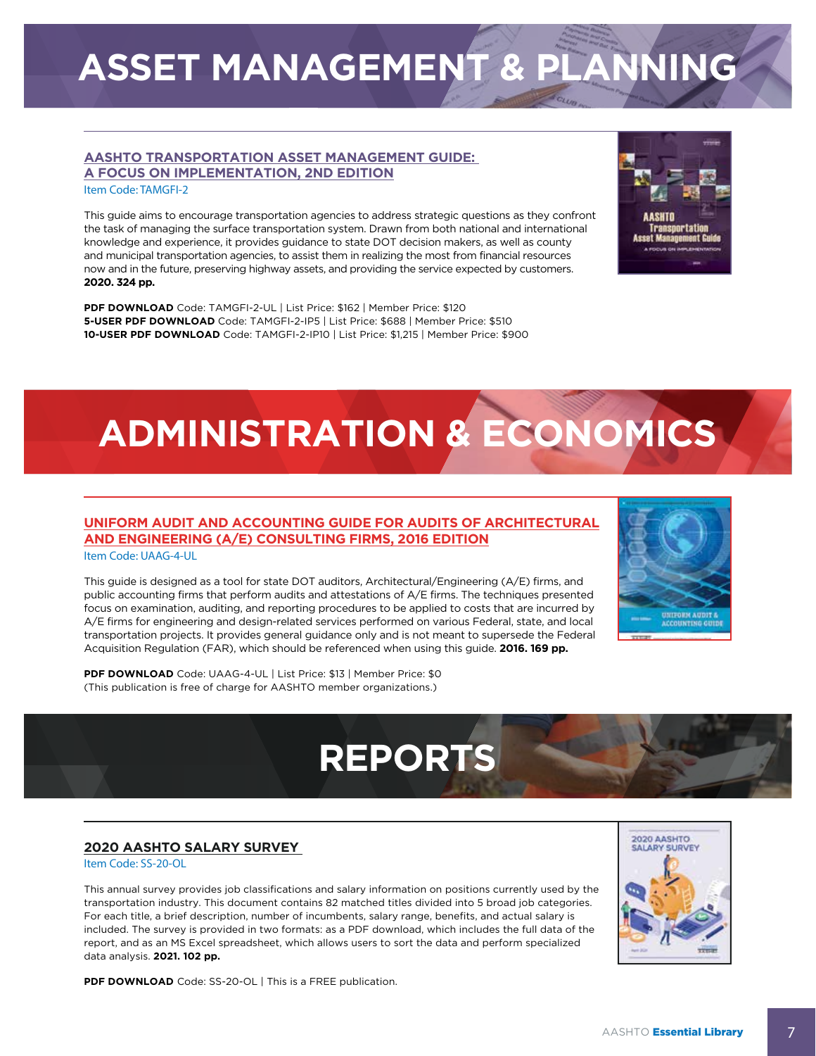## **ASSET MANAGEMENT & PLANNING**

#### **[AASHTO TRANSPORTATION ASSET MANAGEMENT GUIDE:](https://store.transportation.org/Item/CollectionDetail?ID=217)  A FOCUS ON IMPLEMENTATION, 2ND EDITION**

Item Code: TAMGFI-2

This guide aims to encourage transportation agencies to address strategic questions as they confront the task of managing the surface transportation system. Drawn from both national and international knowledge and experience, it provides guidance to state DOT decision makers, as well as county and municipal transportation agencies, to assist them in realizing the most from financial resources now and in the future, preserving highway assets, and providing the service expected by customers. **2020. 324 pp.**

**PDF DOWNLOAD** Code: TAMGFI-2-UL | List Price: \$162 | Member Price: \$120 **5-USER PDF DOWNLOAD** Code: TAMGFI-2-IP5 | List Price: \$688 | Member Price: \$510 **10-USER PDF DOWNLOAD** Code: TAMGFI-2-IP10 | List Price: \$1,215 | Member Price: \$900

## **ADMINISTRATION & ECONOMICS**

**REPORTS** 

## **[UNIFORM AUDIT AND ACCOUNTING GUIDE FOR AUDITS OF ARCHITECTURAL](https://store.transportation.org/Item/PublicationDetail?ID=2625) AND ENGINEERING (A/E) CONSULTING FIRMS, 2016 EDITION**

Item Code: UAAG-4-UL

This guide is designed as a tool for state DOT auditors, Architectural/Engineering (A/E) firms, and public accounting firms that perform audits and attestations of A/E firms. The techniques presented focus on examination, auditing, and reporting procedures to be applied to costs that are incurred by A/E firms for engineering and design-related services performed on various Federal, state, and local transportation projects. It provides general guidance only and is not meant to supersede the Federal Acquisition Regulation (FAR), which should be referenced when using this guide. **2016. 169 pp.**

**PDF DOWNLOAD** Code: UAAG-4-UL | List Price: \$13 | Member Price: \$0 (This publication is free of charge for AASHTO member organizations.)

### **[2020 AASHTO SALARY SURVEY](https://store.transportation.org/Item/PublicationDetail?ID=4647)**

Item Code: SS-20-OL

This annual survey provides job classifications and salary information on positions currently used by the transportation industry. This document contains 82 matched titles divided into 5 broad job categories. For each title, a brief description, number of incumbents, salary range, benefits, and actual salary is included. The survey is provided in two formats: as a PDF download, which includes the full data of the report, and as an MS Excel spreadsheet, which allows users to sort the data and perform specialized data analysis. **2021. 102 pp.**

**PDF DOWNLOAD** Code: SS-20-OL | This is a FREE publication.